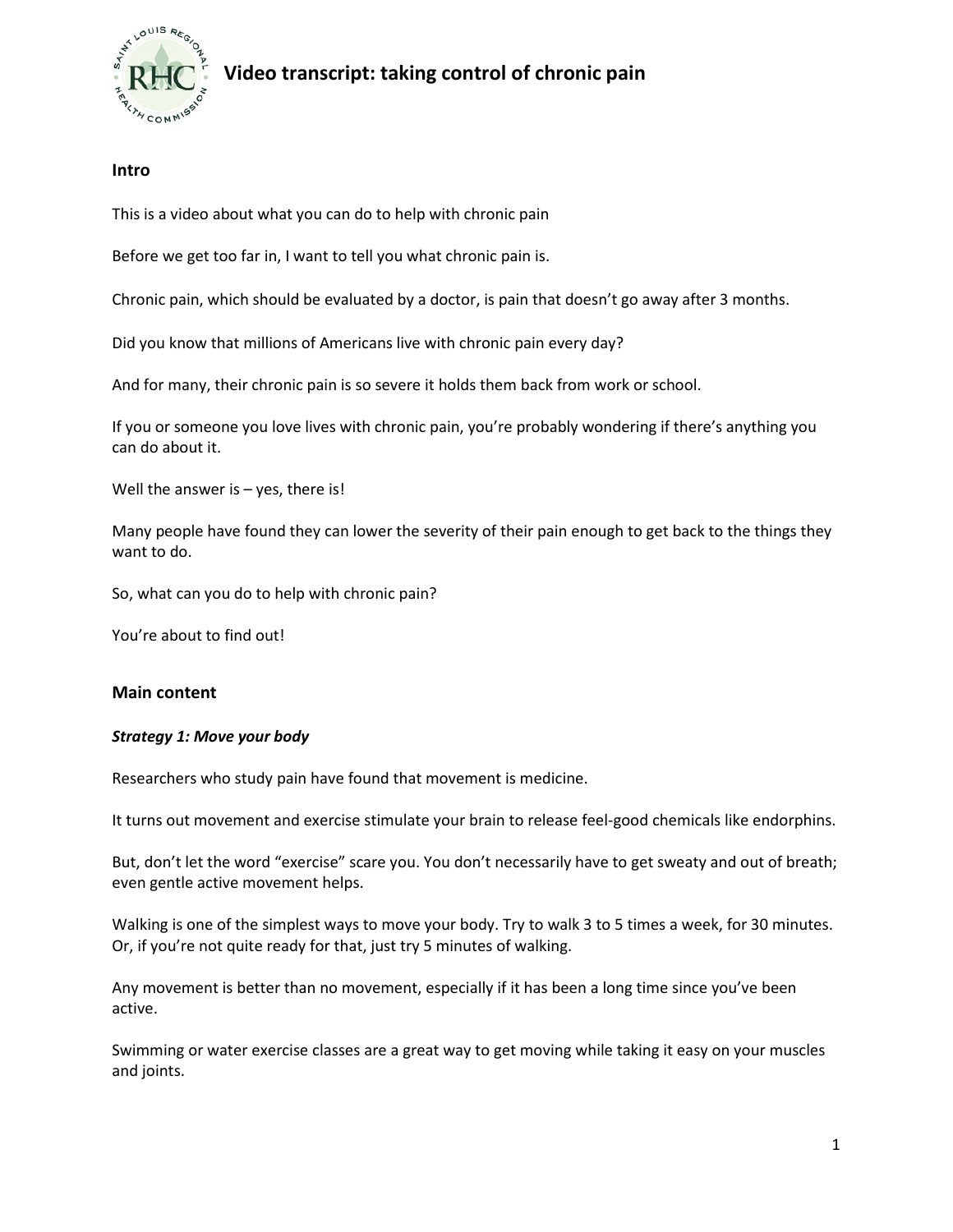

# **Video transcript: taking control of chronic pain**

## **Intro**

This is a video about what you can do to help with chronic pain

Before we get too far in, I want to tell you what chronic pain is.

Chronic pain, which should be evaluated by a doctor, is pain that doesn't go away after 3 months.

Did you know that millions of Americans live with chronic pain every day?

And for many, their chronic pain is so severe it holds them back from work or school.

If you or someone you love lives with chronic pain, you're probably wondering if there's anything you can do about it.

Well the answer is  $-$  yes, there is!

Many people have found they can lower the severity of their pain enough to get back to the things they want to do.

So, what can you do to help with chronic pain?

You're about to find out!

### **Main content**

### *Strategy 1: Move your body*

Researchers who study pain have found that movement is medicine.

It turns out movement and exercise stimulate your brain to release feel-good chemicals like endorphins.

But, don't let the word "exercise" scare you. You don't necessarily have to get sweaty and out of breath; even gentle active movement helps.

Walking is one of the simplest ways to move your body. Try to walk 3 to 5 times a week, for 30 minutes. Or, if you're not quite ready for that, just try 5 minutes of walking.

Any movement is better than no movement, especially if it has been a long time since you've been active.

Swimming or water exercise classes are a great way to get moving while taking it easy on your muscles and joints.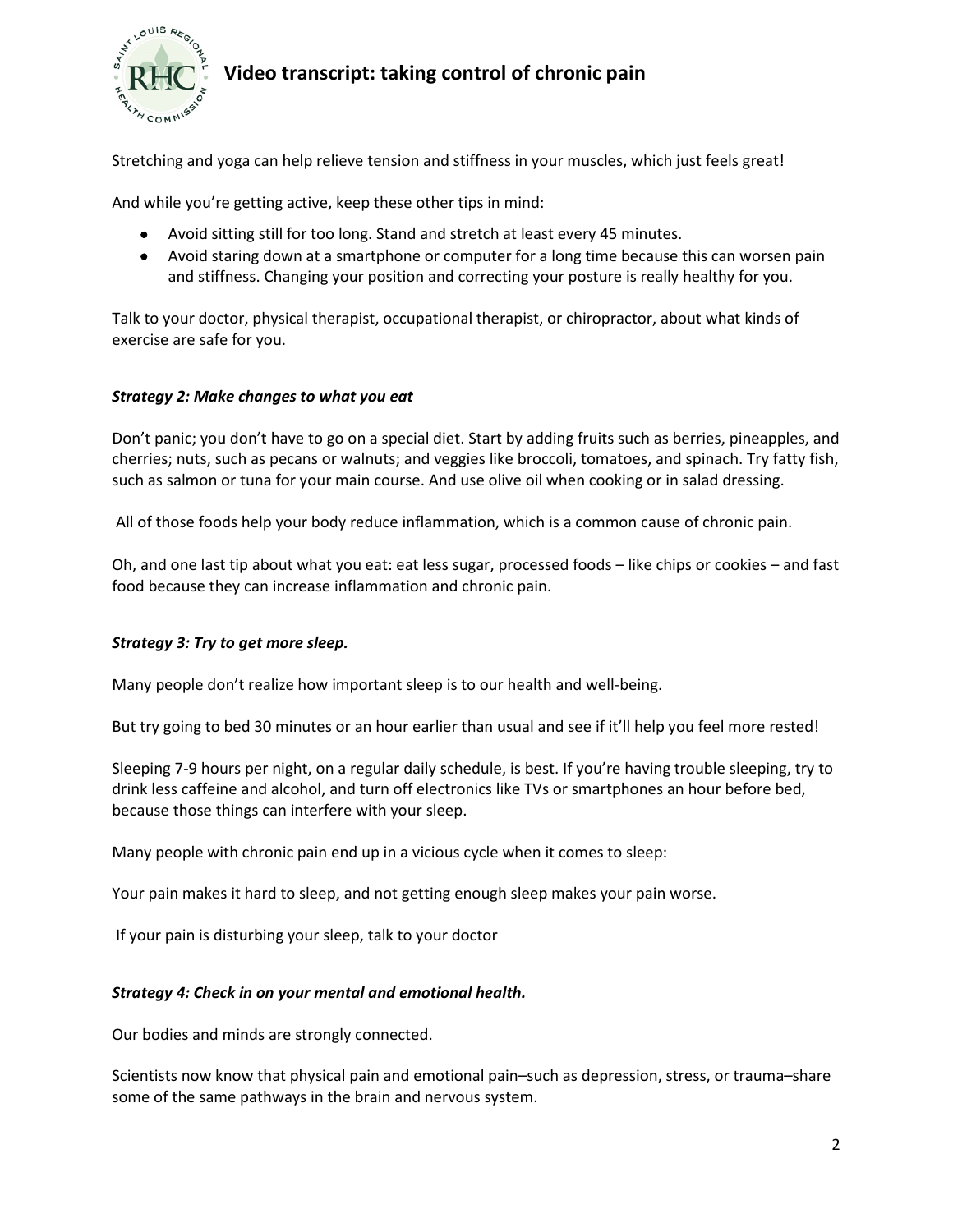

## **Video transcript: taking control of chronic pain**

Stretching and yoga can help relieve tension and stiffness in your muscles, which just feels great!

And while you're getting active, keep these other tips in mind:

- Avoid sitting still for too long. Stand and stretch at least every 45 minutes.
- Avoid staring down at a smartphone or computer for a long time because this can worsen pain and stiffness. Changing your position and correcting your posture is really healthy for you.

Talk to your doctor, physical therapist, occupational therapist, or chiropractor, about what kinds of exercise are safe for you.

#### *Strategy 2: Make changes to what you eat*

Don't panic; you don't have to go on a special diet. Start by adding fruits such as berries, pineapples, and cherries; nuts, such as pecans or walnuts; and veggies like broccoli, tomatoes, and spinach. Try fatty fish, such as salmon or tuna for your main course. And use olive oil when cooking or in salad dressing.

All of those foods help your body reduce inflammation, which is a common cause of chronic pain.

Oh, and one last tip about what you eat: eat less sugar, processed foods – like chips or cookies – and fast food because they can increase inflammation and chronic pain.

### *Strategy 3: Try to get more sleep.*

Many people don't realize how important sleep is to our health and well-being.

But try going to bed 30 minutes or an hour earlier than usual and see if it'll help you feel more rested!

Sleeping 7-9 hours per night, on a regular daily schedule, is best. If you're having trouble sleeping, try to drink less caffeine and alcohol, and turn off electronics like TVs or smartphones an hour before bed, because those things can interfere with your sleep.

Many people with chronic pain end up in a vicious cycle when it comes to sleep:

Your pain makes it hard to sleep, and not getting enough sleep makes your pain worse.

If your pain is disturbing your sleep, talk to your doctor

### *Strategy 4: Check in on your mental and emotional health.*

Our bodies and minds are strongly connected.

Scientists now know that physical pain and emotional pain–such as depression, stress, or trauma–share some of the same pathways in the brain and nervous system.